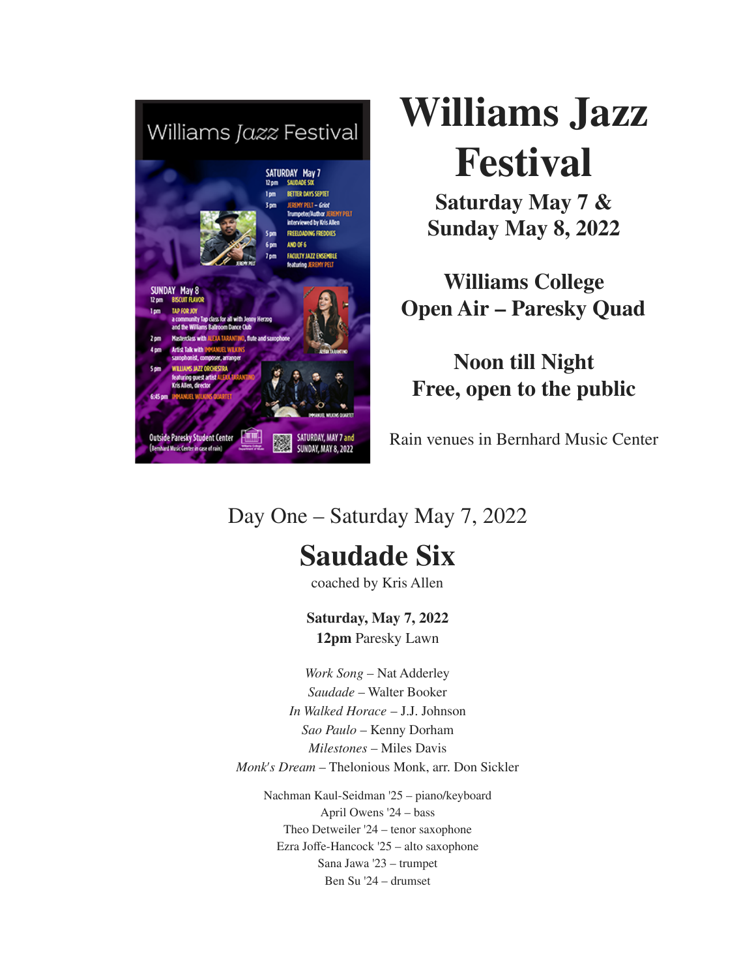

# **Williams Jazz Festival**

**Saturday May 7 & Sunday May 8, 2022**

**Williams College Open Air – Paresky Quad**

**Noon till Night Free, open to the public**

Rain venues in Bernhard Music Center

#### Day One – Saturday May 7, 2022

# **Saudade Six**

coached by Kris Allen

**Saturday, May 7, 2022 12pm** Paresky Lawn

*Work Song* – Nat Adderley *Saudade* – Walter Booker *In Walked Horace* – J.J. Johnson *Sao Paulo* – Kenny Dorham *Milestones* – Miles Davis *Monk's Dream* – Thelonious Monk, arr. Don Sickler

Nachman Kaul-Seidman '25 – piano/keyboard April Owens '24 – bass Theo Detweiler '24 – tenor saxophone Ezra Joffe-Hancock '25 – alto saxophone Sana Jawa '23 – trumpet Ben Su '24 – drumset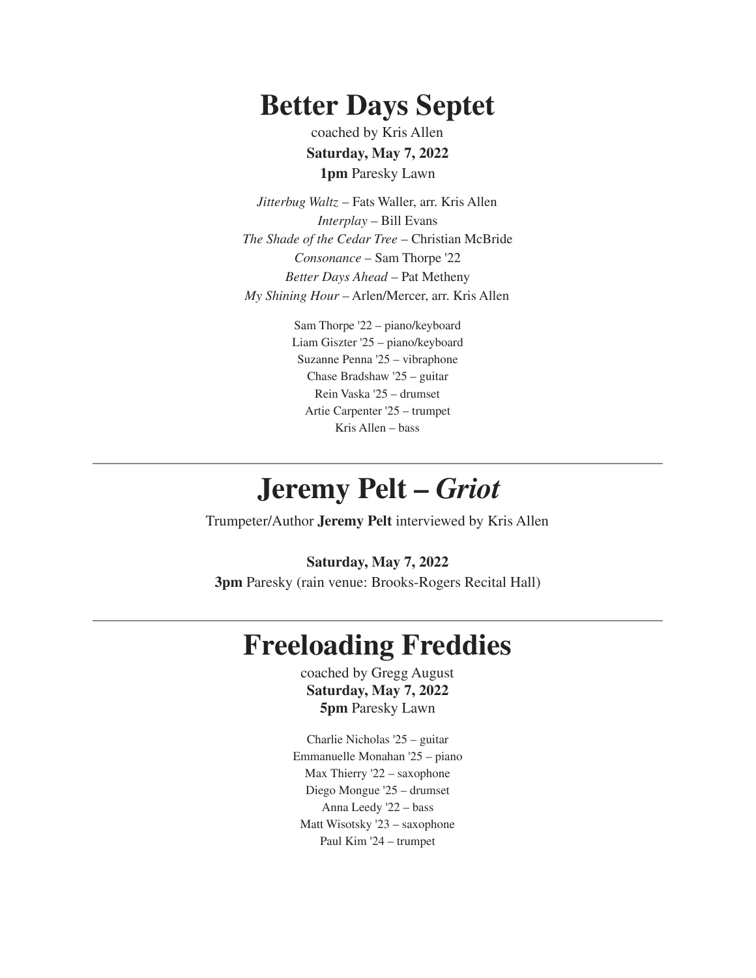## **Better Days Septet**

coached by Kris Allen **Saturday, May 7, 2022 1pm** Paresky Lawn

*Jitterbug Waltz* – Fats Waller, arr. Kris Allen *Interplay* – Bill Evans *The Shade of the Cedar Tree* – Christian McBride *Consonance* – Sam Thorpe '22 *Better Days Ahead* – Pat Metheny *My Shining Hour* – Arlen/Mercer, arr. Kris Allen

> Sam Thorpe '22 – piano/keyboard Liam Giszter '25 – piano/keyboard Suzanne Penna '25 – vibraphone Chase Bradshaw '25 – guitar Rein Vaska '25 – drumset Artie Carpenter '25 – trumpet Kris Allen – bass

### **Jeremy Pelt –** *Griot*

Trumpeter/Author **Jeremy Pelt** interviewed by Kris Allen

#### **Saturday, May 7, 2022**

**3pm** Paresky (rain venue: Brooks-Rogers Recital Hall)

#### **Freeloading Freddies**

coached by Gregg August **Saturday, May 7, 2022 5pm** Paresky Lawn

Charlie Nicholas '25 – guitar Emmanuelle Monahan '25 – piano Max Thierry '22 – saxophone Diego Mongue '25 – drumset Anna Leedy '22 – bass Matt Wisotsky '23 – saxophone Paul Kim '24 – trumpet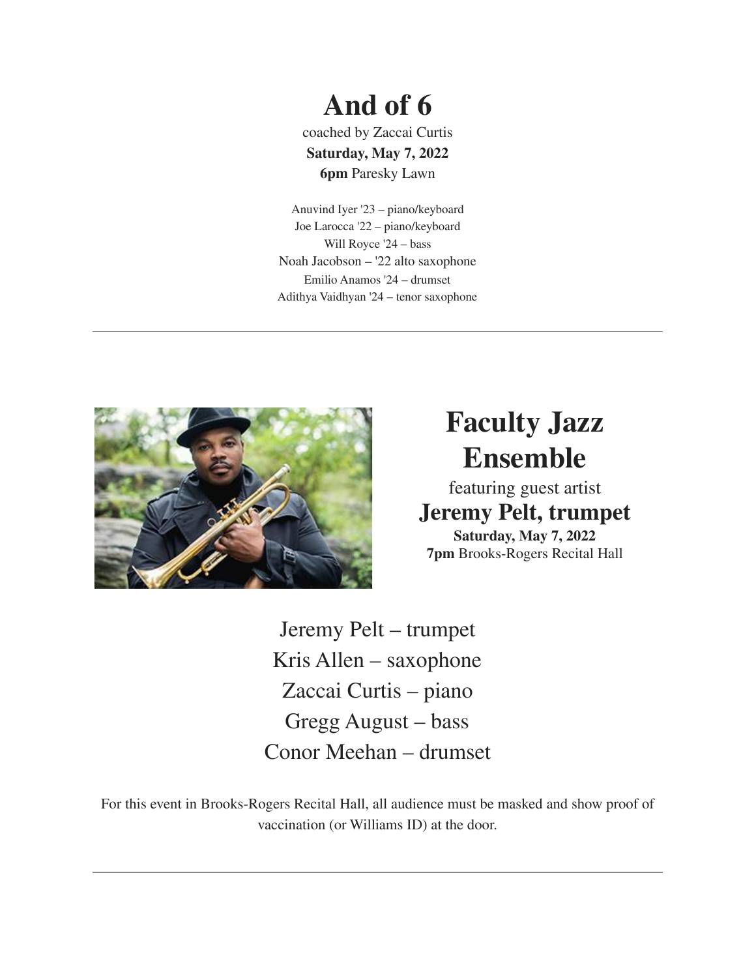# **And of 6**

coached by Zaccai Curtis **Saturday, May 7, 2022 6pm** Paresky Lawn

Anuvind Iyer '23 – piano/keyboard Joe Larocca '22 – piano/keyboard Will Royce '24 – bass Noah Jacobson – '22 alto saxophone Emilio Anamos '24 – drumset Adithya Vaidhyan '24 – tenor saxophone



# **Faculty Jazz Ensemble**

featuring guest artist **Jeremy Pelt, trumpet Saturday, May 7, 2022 7pm** Brooks-Rogers Recital Hall

Jeremy Pelt – trumpet Kris Allen – saxophone Zaccai Curtis – piano Gregg August – bass Conor Meehan – drumset

For this event in Brooks-Rogers Recital Hall, all audience must be masked and show proof of vaccination (or Williams ID) at the door.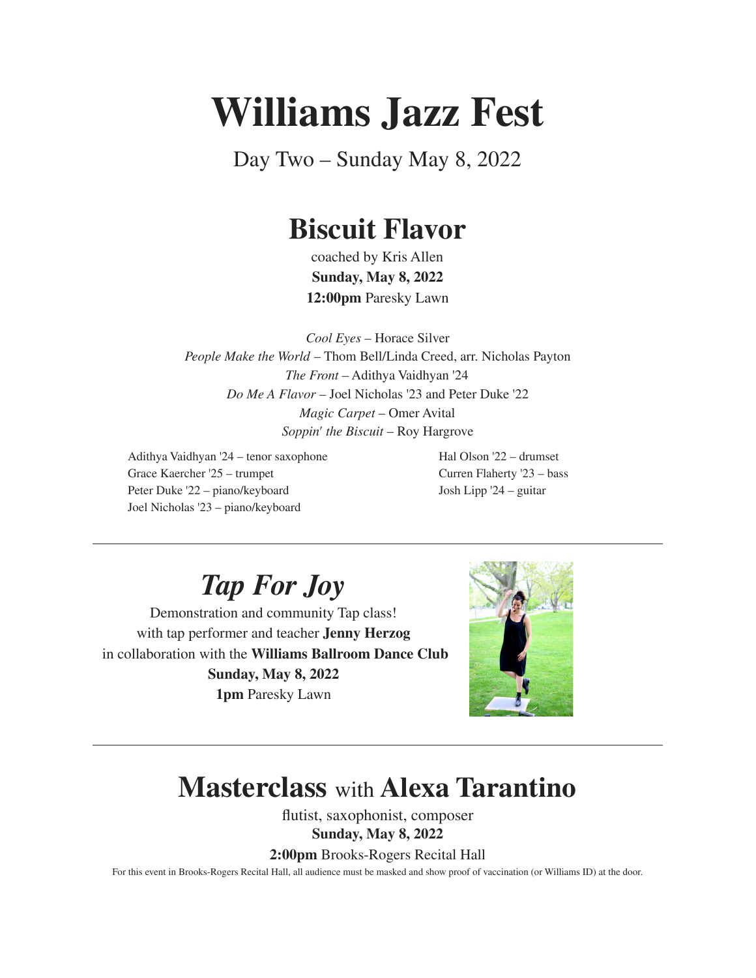# **Williams Jazz Fest**

Day Two – Sunday May 8, 2022

# **Biscuit Flavor**

coached by Kris Allen **Sunday, May 8, 2022 12:00pm** Paresky Lawn

*Cool Eyes* – Horace Silver *People Make the World* – Thom Bell/Linda Creed, arr. Nicholas Payton *The Front* – Adithya Vaidhyan '24 *Do Me A Flavor* – Joel Nicholas '23 and Peter Duke '22 *Magic Carpet* – Omer Avital *Soppin' the Biscuit* – Roy Hargrove

Adithya Vaidhyan '24 – tenor saxophone Grace Kaercher '25 – trumpet Peter Duke '22 – piano/keyboard Joel Nicholas '23 – piano/keyboard

Hal Olson '22 – drumset Curren Flaherty '23 – bass Josh Lipp '24 – guitar

*Tap For Joy*

Demonstration and community Tap class! with tap performer and teacher **Jenny Herzog** in collaboration with the **Williams Ballroom Dance Club Sunday, May 8, 2022 1pm** Paresky Lawn



## **Masterclass** with **Alexa Tarantino**

flutist, saxophonist, composer **Sunday, May 8, 2022**

**2:00pm** Brooks-Rogers Recital Hall

For this event in Brooks-Rogers Recital Hall, all audience must be masked and show proof of vaccination (or Williams ID) at the door.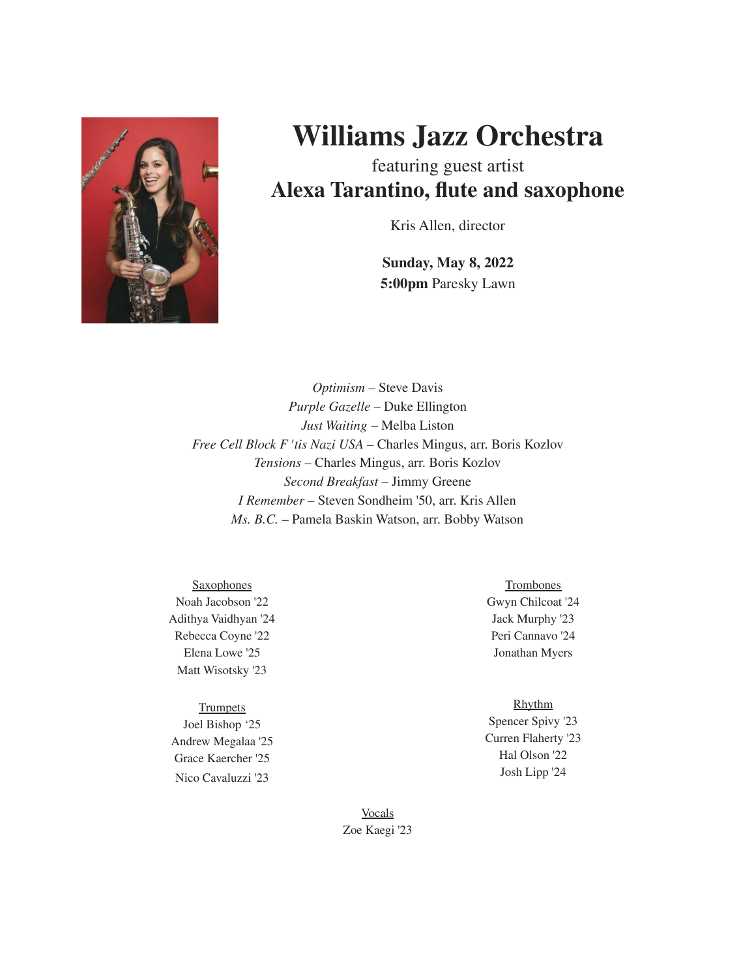

# **Williams Jazz Orchestra**

featuring guest artist **Alexa Tarantino, flute and saxophone**

Kris Allen, director

**Sunday, May 8, 2022 5:00pm** Paresky Lawn

*Optimism* – Steve Davis *Purple Gazelle* – Duke Ellington *Just Waiting* – Melba Liston *Free Cell Block F 'tis Nazi USA* – Charles Mingus, arr. Boris Kozlov *Tensions* – Charles Mingus, arr. Boris Kozlov *Second Breakfast* – Jimmy Greene *I Remember* – Steven Sondheim '50, arr. Kris Allen *Ms. B.C.* – Pamela Baskin Watson, arr. Bobby Watson

**Saxophones** Noah Jacobson '22 Adithya Vaidhyan '24 Rebecca Coyne '22 Elena Lowe '25 Matt Wisotsky '23

**Trumpets** Joel Bishop '25 Andrew Megalaa '25 Grace Kaercher '25 Nico Cavaluzzi '23

**Trombones** Gwyn Chilcoat '24 Jack Murphy '23 Peri Cannavo '24 Jonathan Myers

#### Rhythm

Spencer Spivy '23 Curren Flaherty '23 Hal Olson '22 Josh Lipp '24

Vocals Zoe Kaegi '23